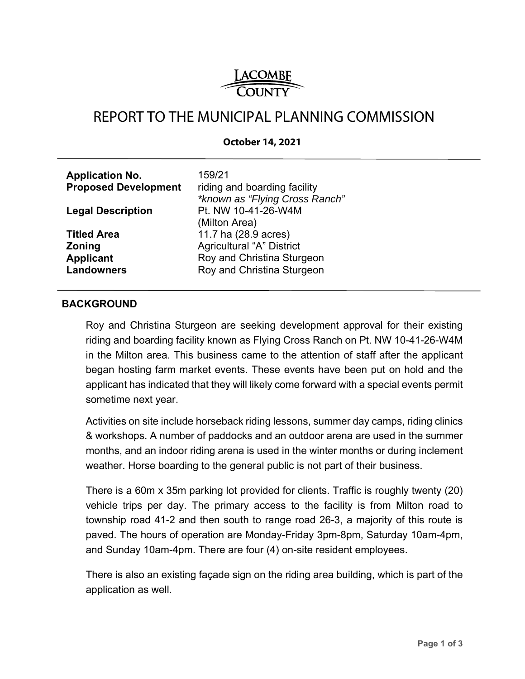

# REPORT TO THE MUNICIPAL PLANNING COMMISSION

#### **October 14, 2021**

| <b>Application No.</b><br><b>Proposed Development</b> | 159/21<br>riding and boarding facility<br>*known as "Flying Cross Ranch" |
|-------------------------------------------------------|--------------------------------------------------------------------------|
| <b>Legal Description</b>                              | Pt. NW 10-41-26-W4M<br>(Milton Area)                                     |
| <b>Titled Area</b>                                    | 11.7 ha (28.9 acres)                                                     |
| <b>Zoning</b>                                         | <b>Agricultural "A" District</b>                                         |
| <b>Applicant</b>                                      | Roy and Christina Sturgeon                                               |
| <b>Landowners</b>                                     | Roy and Christina Sturgeon                                               |

#### **BACKGROUND**

Roy and Christina Sturgeon are seeking development approval for their existing riding and boarding facility known as Flying Cross Ranch on Pt. NW 10-41-26-W4M in the Milton area. This business came to the attention of staff after the applicant began hosting farm market events. These events have been put on hold and the applicant has indicated that they will likely come forward with a special events permit sometime next year.

Activities on site include horseback riding lessons, summer day camps, riding clinics & workshops. A number of paddocks and an outdoor arena are used in the summer months, and an indoor riding arena is used in the winter months or during inclement weather. Horse boarding to the general public is not part of their business.

There is a 60m x 35m parking lot provided for clients. Traffic is roughly twenty (20) vehicle trips per day. The primary access to the facility is from Milton road to township road 41-2 and then south to range road 26-3, a majority of this route is paved. The hours of operation are Monday-Friday 3pm-8pm, Saturday 10am-4pm, and Sunday 10am-4pm. There are four (4) on-site resident employees.

There is also an existing façade sign on the riding area building, which is part of the application as well.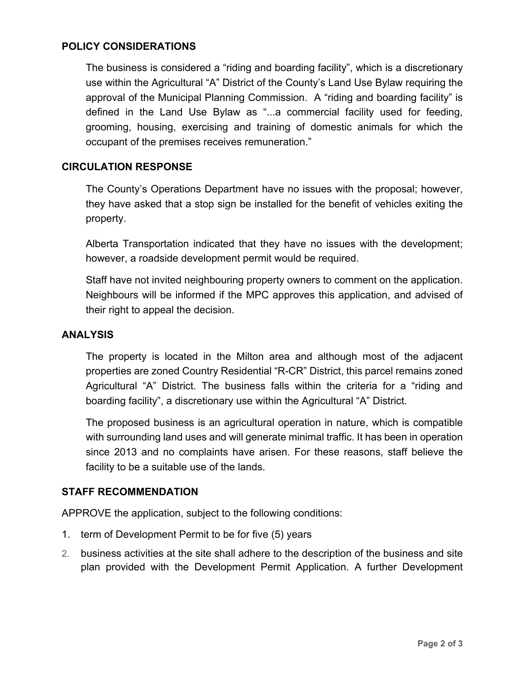# **POLICY CONSIDERATIONS**

The business is considered a "riding and boarding facility", which is a discretionary use within the Agricultural "A" District of the County's Land Use Bylaw requiring the approval of the Municipal Planning Commission. A "riding and boarding facility" is defined in the Land Use Bylaw as "...a commercial facility used for feeding, grooming, housing, exercising and training of domestic animals for which the occupant of the premises receives remuneration."

# **CIRCULATION RESPONSE**

The County's Operations Department have no issues with the proposal; however, they have asked that a stop sign be installed for the benefit of vehicles exiting the property.

Alberta Transportation indicated that they have no issues with the development; however, a roadside development permit would be required.

Staff have not invited neighbouring property owners to comment on the application. Neighbours will be informed if the MPC approves this application, and advised of their right to appeal the decision.

### **ANALYSIS**

The property is located in the Milton area and although most of the adjacent properties are zoned Country Residential "R-CR" District, this parcel remains zoned Agricultural "A" District. The business falls within the criteria for a "riding and boarding facility", a discretionary use within the Agricultural "A" District.

The proposed business is an agricultural operation in nature, which is compatible with surrounding land uses and will generate minimal traffic. It has been in operation since 2013 and no complaints have arisen. For these reasons, staff believe the facility to be a suitable use of the lands.

## **STAFF RECOMMENDATION**

APPROVE the application, subject to the following conditions:

- 1. term of Development Permit to be for five (5) years
- 2. business activities at the site shall adhere to the description of the business and site plan provided with the Development Permit Application. A further Development